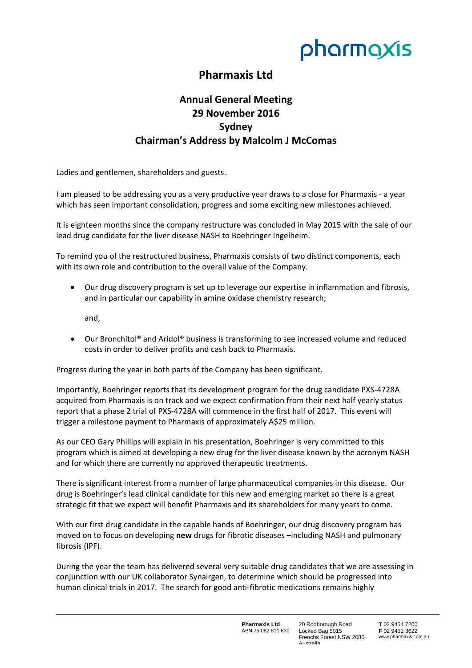

## **Pharmaxis Ltd**

## **Annual General Meeting 29 November 2016 Sydney Chairman's Address by Malcolm J McComas**

Ladies and gentlemen, shareholders and guests.

I am pleased to be addressing you as a very productive year draws to a close for Pharmaxis ‐ a year which has seen important consolidation, progress and some exciting new milestones achieved.

It is eighteen months since the company restructure was concluded in May 2015 with the sale of our lead drug candidate for the liver disease NASH to Boehringer Ingelheim.

To remind you of the restructured business, Pharmaxis consists of two distinct components, each with its own role and contribution to the overall value of the Company.

 Our drug discovery program is set up to leverage our expertise in inflammation and fibrosis, and in particular our capability in amine oxidase chemistry research;

and,

 Our Bronchitol® and Aridol® business is transforming to see increased volume and reduced costs in order to deliver profits and cash back to Pharmaxis.

Progress during the year in both parts of the Company has been significant.

Importantly, Boehringer reports that its development program for the drug candidate PXS‐4728A acquired from Pharmaxis is on track and we expect confirmation from their next half yearly status report that a phase 2 trial of PXS‐4728A will commence in the first half of 2017. This event will trigger a milestone payment to Pharmaxis of approximately A\$25 million.

As our CEO Gary Phillips will explain in his presentation, Boehringer is very committed to this program which is aimed at developing a new drug for the liver disease known by the acronym NASH and for which there are currently no approved therapeutic treatments.

There is significant interest from a number of large pharmaceutical companies in this disease. Our drug is Boehringer's lead clinical candidate for this new and emerging market so there is a great strategic fit that we expect will benefit Pharmaxis and its shareholders for many years to come.

With our first drug candidate in the capable hands of Boehringer, our drug discovery program has moved on to focus on developing **new** drugs for fibrotic diseases –including NASH and pulmonary fibrosis (IPF).

During the year the team has delivered several very suitable drug candidates that we are assessing in conjunction with our UK collaborator Synairgen, to determine which should be progressed into human clinical trials in 2017. The search for good anti-fibrotic medications remains highly

> **Pharmaxis Ltd**  ABN 75 082 811 630

20 Rodborough Road Locked Bag 5015 Frenchs Forest NSW 2086 Australia

**T** 02 9454 7200 **F** 02 9451 3622 www.pharmaxis.com.au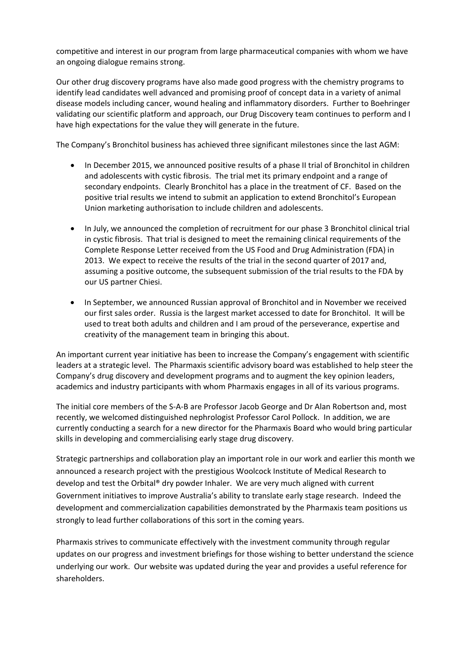competitive and interest in our program from large pharmaceutical companies with whom we have an ongoing dialogue remains strong.

Our other drug discovery programs have also made good progress with the chemistry programs to identify lead candidates well advanced and promising proof of concept data in a variety of animal disease models including cancer, wound healing and inflammatory disorders. Further to Boehringer validating our scientific platform and approach, our Drug Discovery team continues to perform and I have high expectations for the value they will generate in the future.

The Company's Bronchitol business has achieved three significant milestones since the last AGM:

- In December 2015, we announced positive results of a phase II trial of Bronchitol in children and adolescents with cystic fibrosis. The trial met its primary endpoint and a range of secondary endpoints. Clearly Bronchitol has a place in the treatment of CF. Based on the positive trial results we intend to submit an application to extend Bronchitol's European Union marketing authorisation to include children and adolescents.
- In July, we announced the completion of recruitment for our phase 3 Bronchitol clinical trial in cystic fibrosis. That trial is designed to meet the remaining clinical requirements of the Complete Response Letter received from the US Food and Drug Administration (FDA) in 2013. We expect to receive the results of the trial in the second quarter of 2017 and, assuming a positive outcome, the subsequent submission of the trial results to the FDA by our US partner Chiesi.
- In September, we announced Russian approval of Bronchitol and in November we received our first sales order. Russia is the largest market accessed to date for Bronchitol. It will be used to treat both adults and children and I am proud of the perseverance, expertise and creativity of the management team in bringing this about.

An important current year initiative has been to increase the Company's engagement with scientific leaders at a strategic level. The Pharmaxis scientific advisory board was established to help steer the Company's drug discovery and development programs and to augment the key opinion leaders, academics and industry participants with whom Pharmaxis engages in all of its various programs.

The initial core members of the S‐A‐B are Professor Jacob George and Dr Alan Robertson and, most recently, we welcomed distinguished nephrologist Professor Carol Pollock. In addition, we are currently conducting a search for a new director for the Pharmaxis Board who would bring particular skills in developing and commercialising early stage drug discovery.

Strategic partnerships and collaboration play an important role in our work and earlier this month we announced a research project with the prestigious Woolcock Institute of Medical Research to develop and test the Orbital® dry powder Inhaler. We are very much aligned with current Government initiatives to improve Australia's ability to translate early stage research. Indeed the development and commercialization capabilities demonstrated by the Pharmaxis team positions us strongly to lead further collaborations of this sort in the coming years.

Pharmaxis strives to communicate effectively with the investment community through regular updates on our progress and investment briefings for those wishing to better understand the science underlying our work. Our website was updated during the year and provides a useful reference for shareholders.